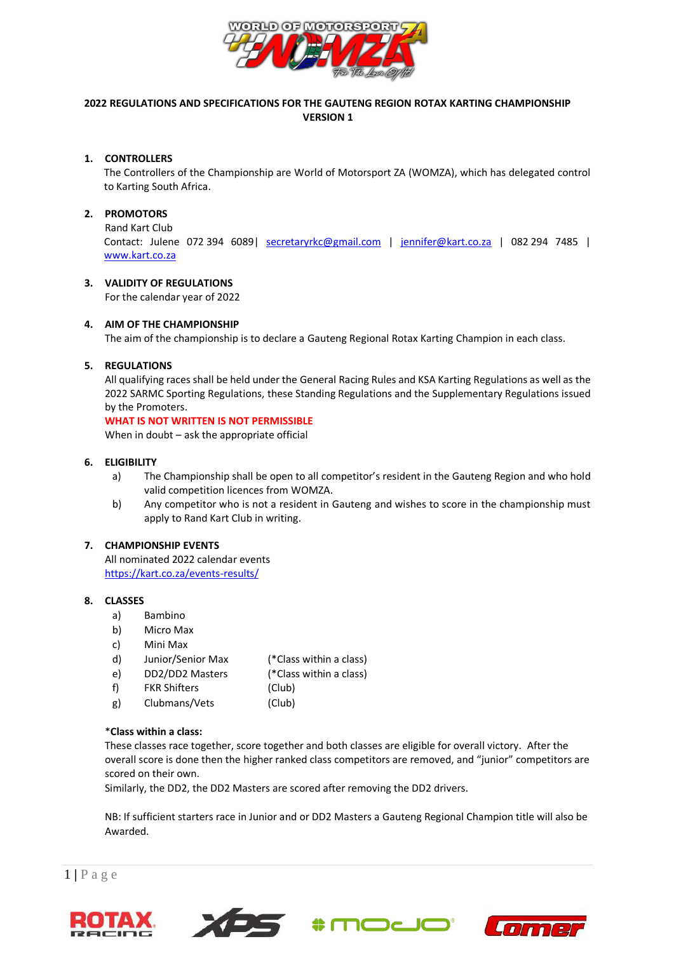

# **2022 REGULATIONS AND SPECIFICATIONS FOR THE GAUTENG REGION ROTAX KARTING CHAMPIONSHIP VERSION 1**

## **1. CONTROLLERS**

The Controllers of the Championship are World of Motorsport ZA (WOMZA), which has delegated control to Karting South Africa.

# **2. PROMOTORS**

Rand Kart Club Contact: Julene 072 394 6089| [secretaryrkc@gmail.com](mailto:secretaryrkc@gmail.com) | [jennifer@kart.co.za](mailto:jennifer@kart.co.za) | 082 294 7485 | [www.kart.co.za](http://www.kart.co.za/)

# **3. VALIDITY OF REGULATIONS**

For the calendar year of 2022

# **4. AIM OF THE CHAMPIONSHIP**

The aim of the championship is to declare a Gauteng Regional Rotax Karting Champion in each class.

# **5. REGULATIONS**

All qualifying races shall be held under the General Racing Rules and KSA Karting Regulations as well as the 2022 SARMC Sporting Regulations, these Standing Regulations and the Supplementary Regulations issued by the Promoters.

## **WHAT IS NOT WRITTEN IS NOT PERMISSIBLE**

When in doubt – ask the appropriate official

## **6. ELIGIBILITY**

- a) The Championship shall be open to all competitor's resident in the Gauteng Region and who hold valid competition licences from WOMZA.
- b) Any competitor who is not a resident in Gauteng and wishes to score in the championship must apply to Rand Kart Club in writing.

## **7. CHAMPIONSHIP EVENTS**

All nominated 2022 calendar events <https://kart.co.za/events-results/>

## **8. CLASSES**

- a) Bambino
- b) Micro Max
- c) Mini Max
- d) Junior/Senior Max (\*Class within a class)
- e) DD2/DD2 Masters (\*Class within a class)
- f) FKR Shifters (Club)
- g) Clubmans/Vets (Club)

## \***Class within a class:**

These classes race together, score together and both classes are eligible for overall victory. After the overall score is done then the higher ranked class competitors are removed, and "junior" competitors are scored on their own.

Similarly, the DD2, the DD2 Masters are scored after removing the DD2 drivers.

NB: If sufficient starters race in Junior and or DD2 Masters a Gauteng Regional Champion title will also be Awarded.









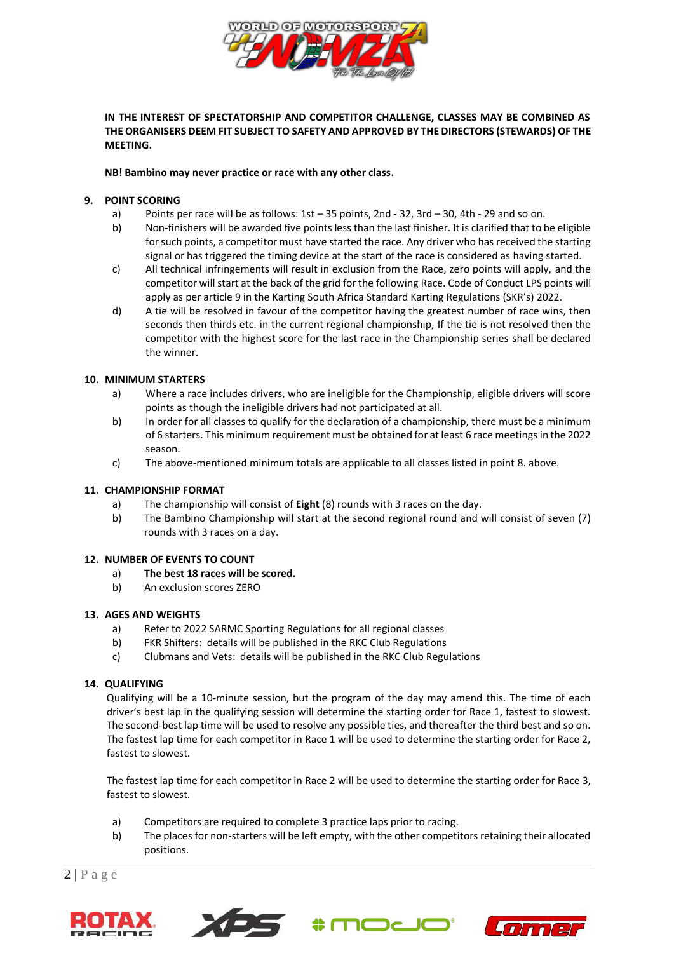

# **IN THE INTEREST OF SPECTATORSHIP AND COMPETITOR CHALLENGE, CLASSES MAY BE COMBINED AS THE ORGANISERS DEEM FIT SUBJECT TO SAFETY AND APPROVED BY THE DIRECTORS (STEWARDS) OF THE MEETING.**

#### **NB! Bambino may never practice or race with any other class.**

# **9. POINT SCORING**

- a) Points per race will be as follows: 1st 35 points, 2nd 32, 3rd 30, 4th 29 and so on.
- b) Non-finishers will be awarded five points less than the last finisher. It is clarified that to be eligible for such points, a competitor must have started the race. Any driver who has received the starting signal or has triggered the timing device at the start of the race is considered as having started.
- c) All technical infringements will result in exclusion from the Race, zero points will apply, and the competitor will start at the back of the grid for the following Race. Code of Conduct LPS points will apply as per article 9 in the Karting South Africa Standard Karting Regulations (SKR's) 2022.
- d) A tie will be resolved in favour of the competitor having the greatest number of race wins, then seconds then thirds etc. in the current regional championship, If the tie is not resolved then the competitor with the highest score for the last race in the Championship series shall be declared the winner.

# **10. MINIMUM STARTERS**

- a) Where a race includes drivers, who are ineligible for the Championship, eligible drivers will score points as though the ineligible drivers had not participated at all.
- b) In order for all classes to qualify for the declaration of a championship, there must be a minimum of 6 starters. This minimum requirement must be obtained for at least 6 race meetings in the 2022 season.
- c) The above-mentioned minimum totals are applicable to all classes listed in point 8. above.

# **11. CHAMPIONSHIP FORMAT**

- a) The championship will consist of **Eight** (8) rounds with 3 races on the day.
- b) The Bambino Championship will start at the second regional round and will consist of seven (7) rounds with 3 races on a day.

## **12. NUMBER OF EVENTS TO COUNT**

- a) **The best 18 races will be scored.**
- b) An exclusion scores ZERO

## **13. AGES AND WEIGHTS**

- a) Refer to 2022 SARMC Sporting Regulations for all regional classes
- b) FKR Shifters: details will be published in the RKC Club Regulations
- c) Clubmans and Vets: details will be published in the RKC Club Regulations

# **14. QUALIFYING**

Qualifying will be a 10-minute session, but the program of the day may amend this. The time of each driver's best lap in the qualifying session will determine the starting order for Race 1, fastest to slowest. The second-best lap time will be used to resolve any possible ties, and thereafter the third best and so on. The fastest lap time for each competitor in Race 1 will be used to determine the starting order for Race 2, fastest to slowest.

The fastest lap time for each competitor in Race 2 will be used to determine the starting order for Race 3, fastest to slowest.

- a) Competitors are required to complete 3 practice laps prior to racing.
- b) The places for non-starters will be left empty, with the other competitors retaining their allocated positions.